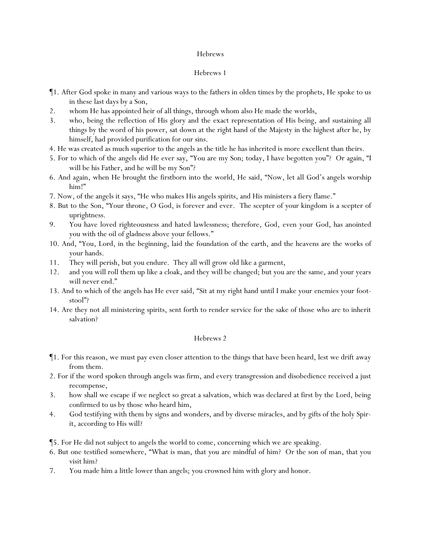# Hebrews 1

- ¶1. After God spoke in many and various ways to the fathers in olden times by the prophets, He spoke to us in these last days by a Son,
- 2. whom He has appointed heir of all things, through whom also He made the worlds,
- 3. who, being the reflection of His glory and the exact representation of His being, and sustaining all things by the word of his power, sat down at the right hand of the Majesty in the highest after he, by himself, had provided purification for our sins.
- 4. He was created as much superior to the angels as the title he has inherited is more excellent than theirs.
- 5. For to which of the angels did He ever say, "You are my Son; today, I have begotten you"? Or again, "I will be his Father, and he will be my Son"?
- 6. And again, when He brought the firstborn into the world, He said, "Now, let all God's angels worship him!"
- 7. Now, of the angels it says, "He who makes His angels spirits, and His ministers a fiery flame."
- 8. But to the Son, "Your throne, O God, is forever and ever. The scepter of your kingdom is a scepter of uprightness.
- 9. You have loved righteousness and hated lawlessness; therefore, God, *even* your God, has anointed you with the oil of gladness above your fellows."
- 10. And, "You, Lord, in the beginning, laid the foundation of the earth, and the heavens are the works of your hands.
- 11. They will perish, but you endure. They all will grow old like a garment,
- 12. and you will roll them up like a cloak, and they will be changed; but you are the same, and your years will never end."
- 13. And to which of the angels has He ever said, "Sit at my right hand until I make your enemies your footstool"?
- 14. Are they not all ministering spirits, sent forth to render service for the sake of those who are to inherit salvation?

# Hebrews 2

- ¶1. For this reason, we must pay even closer attention to the things that have been heard, lest we drift away from *them*.
- 2. For if the word spoken through angels was firm, and every transgression and disobedience received a just recompense,
- 3. how shall we escape if we neglect so great a salvation, which was declared at first by the Lord, being confirmed to us by those who heard *him*,
- 4. God testifying with them by signs and wonders, and by diverse miracles, and by gifts of the holy Spirit, according to His will?

¶5. For He did not subject to angels the world to come, concerning which we are speaking.

- 6. But one testified somewhere, "What is man, that you are mindful of him? Or the son of man, that you visit him?
- 7. You made him a little lower than angels; you crowned him with glory and honor.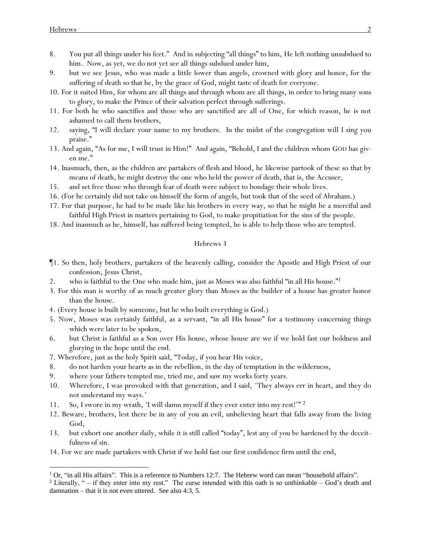- 8. You put all things under his feet." And in subjecting "all things" to him, He left nothing unsubdued to him. Now, as yet, we do not yet see all things subdued under him,
- 9. but we see Jesus, who was made a little lower than angels, crowned with glory and honor, for the suffering of death so that he, by the grace of God, might taste of death for everyone.
- 10. For it suited Him, for whom are all things and through whom are all things, in order to bring many sons to glory, to make the Prince of their salvation perfect through sufferings.
- 11. For both he who sanctifies and those who are sanctified are all of One, for which reason, he is not ashamed to call them brothers,
- 12. saying, "I will declare your name to my brothers. In the midst of the congregation will I sing you praise."
- 13. And again, "As for me, I will trust in Him!" And again, "Behold, I and the children whom GOD has given me."
- 14. Inasmuch, then, as the children are partakers of flesh and blood, he likewise partook of these so that by means of death, he might destroy the one who held the power of death, that is, the Accuser,
- 15. and set free those who through fear of death were subject to bondage their whole lives.
- 16. (For he certainly did not take on himself *the form* of angels, but took *that* of the seed of Abraham.)
- 17. For that purpose, he had to be made like his brothers in every way, so that he might be a merciful and faithful High Priest in matters pertaining to God, to make propitiation for the sins of the people.
- 18. And inasmuch as he, himself, has suffered being tempted, he is able to help those who are tempted.

- ¶1. So then, holy brothers, partakers of the heavenly calling, consider the Apostle and High Priest of our confession, Jesus Christ,
- 2. who is faithful to the One who made him, just as Moses *was* also *faithful* "in all His house." 1
- 3. For this man is worthy of as much greater glory than Moses as the builder of a house has greater honor than the house.
- 4. (Every house is built by someone, but he who built everything is God.)
- 5. Now, Moses was certainly faithful, as a servant, "in all His house" for a testimony concerning things which were later to be spoken,
- 6. but Christ *is faithful* as a Son over His house, whose house are we if we hold fast our boldness and glorying in the hope until the end.
- 7. Wherefore, just as the holy Spirit said, "Today, if *y*ou hear His voice,
- 8. do not harden *y*our hearts as in the rebellion, in the day of temptation in the wilderness,
- 9. where *y*our fathers tempted me, tried me, and saw my works forty years.
- 10. Wherefore, I was provoked with that generation, and I said, 'They always err in heart, and they do not understand my ways.'
- 11. So, I swore in my wrath, '*I will damn myself* if they ever enter into my rest!'" 2
- 12. Beware, brothers, lest there be in any of *y*ou an evil, unbelieving heart that falls away from the living God,
- 13. but exhort one another daily, while it is still called "today", lest any of *y*ou be hardened by the deceitfulness of sin.
- 14. For we are made partakers with Christ if we hold fast our first confidence firm until the end,

<sup>&</sup>lt;sup>1</sup> Or, "in all His affairs". This is a reference to Numbers 12:7. The Hebrew word can mean "household affairs".

<sup>&</sup>lt;sup>2</sup> Literally, " $-$  if they enter into my rest." The curse intended with this oath is so unthinkable  $-$  God's death and damnation – that it is not even uttered. See also 4:3, 5.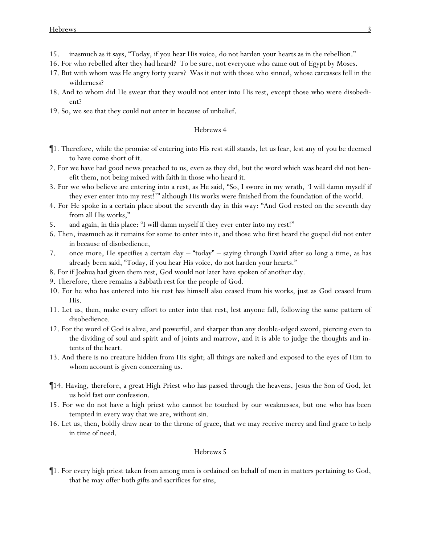- 15. inasmuch as it says, "Today, if *y*ou hear His voice, do not harden *y*our hearts as in the rebellion."
- 16. For who rebelled after they had heard? To be sure, not everyone who came out of Egypt by Moses.
- 17. But with whom was He angry forty years? Was it not with those who sinned, whose carcasses fell in the wilderness?
- 18. And to whom did He swear that they would not enter into His rest, except those who were disobedient?
- 19. So, we see that they could not enter in because of unbelief.

- ¶1. Therefore, while the promise of entering into His rest still stands, let us fear, lest any of *y*ou be deemed to have come short of it.
- 2. For we have had good news preached to us, even as they did, but the word which was heard did not benefit them, not being mixed with faith in those who heard it.
- 3. For we who believe are entering into a rest, as He said, "So, I swore in my wrath, '*I will damn myself* if they ever enter into my rest!'" although *His* works were finished from the foundation of the world.
- 4. For He spoke in a certain place about the seventh day in this way: "And God rested on the seventh day from all His works,"
- 5. and again, in this place: "*I will damn myself* if they ever enter into my rest!"
- 6. Then, inasmuch as it remains for some to enter into it, and those who first heard the gospel did not enter in because of disobedience,
- 7. once more, He specifies a certain day "today" saying through David after so long a time, as has already been said, "Today, if *y*ou hear His voice, do not harden *y*our hearts."
- 8. For if Joshua had given them rest, *God* would not later have spoken of another day.
- 9. Therefore, there remains a Sabbath rest for the people of God.
- 10. For he who has entered into his rest has himself also ceased from his works, just as God *ceased* from His.
- 11. Let us, then, make every effort to enter into that rest, lest anyone fall, following the same pattern of disobedience.
- 12. For the word of God is alive, and powerful, and sharper than any double-edged sword, piercing even to the dividing of soul and spirit and of joints and marrow, and it is able to judge the thoughts and intents of the heart.
- 13. And there is no creature hidden from His sight; all things are naked and exposed to the eyes of Him to whom account *is given* concerning us.
- ¶14. Having, therefore, a great High Priest who has passed through the heavens, Jesus the Son of God, let us hold fast our confession.
- 15. For we do not have a high priest who cannot be touched by our weaknesses, but one who has been tempted in every way that we are, without sin.
- 16. Let us, then, boldly draw near to the throne of grace, that we may receive mercy and find grace to help in time of need.

## Hebrews 5

¶1. For every high priest taken from among men is ordained on behalf of men in matters pertaining to God, that he may offer both gifts and sacrifices for sins,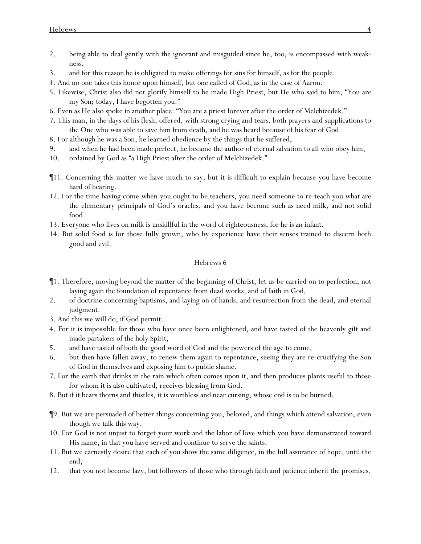- 2. being able to deal gently with the ignorant and misguided since he, too, is encompassed with weakness,
- 3. and for this reason he is obligated to make offerings for sins for himself, as for the people.
- 4. And no one takes this honor upon himself, but one called of God, as in the case of Aaron.
- 5. Likewise, Christ also did not glorify himself to be made High Priest, but He who said to him, "You are my Son; today, I have begotten you."
- 6. Even as He also spoke in another place: "You are a priest forever after the order of Melchizedek."
- 7. This man, in the days of his flesh, offered, with strong crying and tears, both prayers and supplications to the One who was able to save him from death, and he was heard because of *his* fear of God.
- 8. For although he was a Son, he learned obedience by the things that he suffered,
- 9. and when he had been made perfect, he became the author of eternal salvation to all who obey him,
- 10. ordained by God as "a High Priest after the order of Melchizedek."
- ¶11. Concerning this matter we have much to say, but *it is* difficult to explain because *y*ou have become hard of hearing.
- 12. For the time having come when *y*ou ought to be teachers, *y*ou need someone to re-teach *y*ou what are the elementary principals of God's oracles, and *y*ou have become such as need milk, and not solid food.
- 13. Everyone who lives on milk is unskillful in the word of righteousness, for he is an infant.
- 14. But solid food is for those fully grown, who by experience have their senses trained to discern both good and evil.

- ¶1. Therefore, moving beyond the matter of the beginning of Christ, let us be carried on to perfection, not laying again the foundation of repentance from dead works, and of faith in God,
- 2. of doctrine concerning baptisms, and laying on of hands, and resurrection from the dead, and eternal judgment.
- 3. And this we will do, if God permit.
- 4. For it is impossible for those who have once been enlightened, and have tasted of the heavenly gift and made partakers of the holy Spirit,
- 5. and have tasted of both the good word of God and the powers of the age to come,
- 6. but then have fallen away, to renew them again to repentance, seeing they are re-crucifying the Son of God in themselves and exposing him to public shame.
- 7. For the earth that drinks in the rain which often comes upon it, and then produces plants useful to those for whom it is also cultivated, receives blessing from God.
- 8. But if it bears thorns and thistles, it is worthless and near cursing, whose end is to be burned.
- ¶9. But we are persuaded of better things concerning *y*ou, beloved, and things which attend salvation, even though we talk this way.
- 10. For God is not unjust to forget *y*our work and the labor of love which *y*ou have demonstrated toward His name, in that you have served and continue to serve the saints.
- 11. But we earnestly desire that each of *y*ou show the same diligence, in the full assurance of hope, until the end,
- 12. that *y*ou not become lazy, but followers of those who through faith and patience inherit the promises.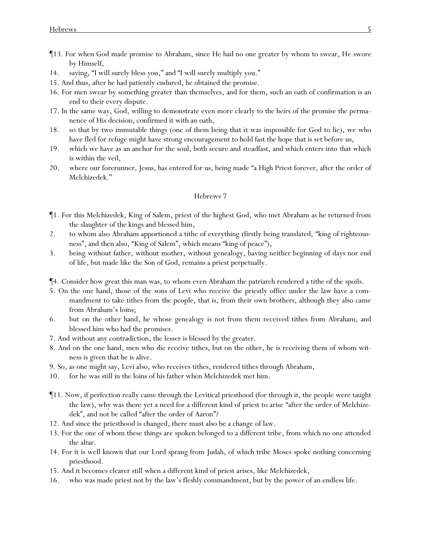- ¶13. For when God made promise to Abraham, since He had no one greater by whom to swear, He swore by Himself,
- 14. saying, "I will surely bless you," and "I will surely multiply you."
- 15. And thus, after he had patiently endured, he obtained the promise.
- 16. For men swear by something greater *than themselves*, and for them, such an oath of confirmation is an end to their every dispute.
- 17. In the same way, God, willing to demonstrate even more clearly to the heirs of the promise the permanence of His decision, confirmed it with an oath,
- 18. so that by two immutable things (one of them being that it was impossible for God to lie), we who have fled for refuge might have strong encouragement to hold fast the hope that is set before us,
- 19. which we have as an anchor for the soul, both secure and steadfast, and which enters into that which is within the veil,
- 20. where our forerunner, Jesus, has entered for us, being made "a High Priest forever, after the order of Melchizedek."

- ¶1. For this Melchizedek, King of Salem, priest of the highest God, who met Abraham as he returned from the slaughter of the kings and blessed him,
- 2. to whom also Abraham apportioned a tithe of everything (firstly being translated, "king of righteousness", and then also, "King of Salem", which means "king of peace"),
- 3. being without father, without mother, without genealogy, having neither beginning of days nor end of life, but made like the Son of God, remains a priest perpetually.
- ¶4. Consider how great this man was, to whom even Abraham the patriarch rendered a tithe of the spoils.
- 5. On the one hand, those of the sons of Levi who receive the priestly office under the law have a commandment to take tithes from the people, that is, from their own brothers, although they also came from Abraham's loins;
- 6. but on the other hand, he whose genealogy is not from them received tithes from Abraham, and blessed him who had the promises.
- 7. And without any contradiction, the lesser is blessed by the greater.
- 8. And on the one hand, men who die receive tithes, but on the other, *he is receiving them* of whom witness is given that he is alive.
- 9. So, as one might say, Levi also, who receives tithes, rendered tithes through Abraham,
- 10. for he was still in the loins of his father when Melchizedek met him.
- ¶11. Now, if perfection really came through the Levitical priesthood (for through it, the people were taught the law), why was there yet a need for a different kind of priest to arise "after the order of Melchizedek", and not be called "after the order of Aaron"?
- 12. And since the priesthood is changed, there must also be a change of law.
- 13. For the one of whom these things are spoken belonged to a different tribe, from which no one attended the altar.
- 14. For it is well known that our Lord sprang from Judah, of which tribe Moses spoke nothing concerning priesthood.
- 15. And it becomes clearer still when a different kind of priest arises, like Melchizedek,
- 16. who was made priest not by the law's fleshly commandment, but by the power of an endless life.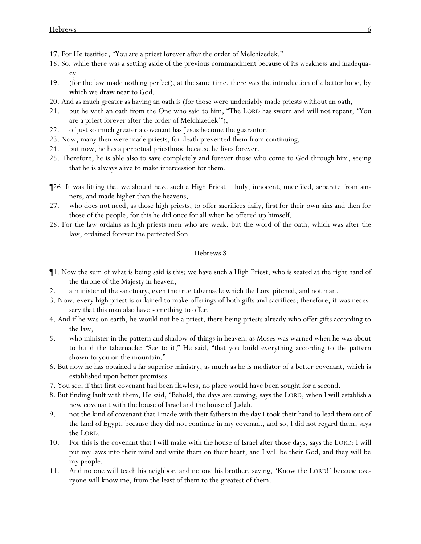- 17. For He testified, "You are a priest forever after the order of Melchizedek."
- 18. So, while there was a setting aside of the previous commandment because of its weakness and inadequacy
- 19. (for the law made nothing perfect), at the same time, there was the introduction of a better hope, by which we draw near to God.
- 20. And as much greater as having an oath is (for those were undeniably made priests without an oath,
- 21. but he with an oath from the One who said to him, "The LORD has sworn and will not repent, 'You are a priest forever after the order of Melchizedek'"),
- 22. of just so much greater a covenant has Jesus become the guarantor.
- 23. Now, many then were made priests, for death prevented them from continuing,
- 24. but now, he has a perpetual priesthood because he lives forever.
- 25. Therefore, he is able also to save completely and forever those who come to God through him, seeing that he is always alive to make intercession for them.
- ¶26. It was fitting that we should have such a High Priest holy, innocent, undefiled, separate from sinners, and made higher than the heavens,
- 27. who does not need, as those high priests, to offer sacrifices daily, first for their own sins and then for those of the people, for this he did once for all when he offered up himself.
- 28. For the law ordains as high priests men who are weak, but the word of the oath, which was after the law, *ordained* forever the perfected Son.

- ¶1. Now the sum of what is being said *is this*: we have such a High Priest, who is seated at the right hand of the throne of the Majesty in heaven,
- 2. a minister of the sanctuary, even the true tabernacle which the Lord pitched, and not man.
- 3. Now, every high priest is ordained to make offerings of both gifts and sacrifices; therefore, it was necessary that this man also have something to offer.
- 4. And if he was on earth, he would not be a priest, there being priests already who offer gifts according to the law,
- 5. who minister in the pattern and shadow of things in heaven, as Moses was warned when he was about to build the tabernacle: "See to it," He said, "that you build everything according to the pattern shown to you on the mountain."
- 6. But now he has obtained a far superior ministry, as much as he is mediator of a better covenant, which is established upon better promises.
- 7. You see, if that first *covenant* had been flawless, no place would have been sought for a second.
- 8. But finding fault with them, He said, "Behold, the days are coming, says the LORD, when I will establish a new covenant with the house of Israel and the house of Judah,
- 9. not the kind of covenant that I made with their fathers in the day I took their hand to lead them out of the land of Egypt, because they did not continue in my covenant, and so, I did not regard them, says the LORD.
- 10. For this is the covenant that I will make with the house of Israel after those days, says the LORD: I will put my laws into their mind and write them on their heart, and I will be their God, and they will be my people.
- 11. And no one will teach his neighbor, and no one his brother, saying, 'Know the LORD!' because everyone will know me, from the least of them to the greatest of them.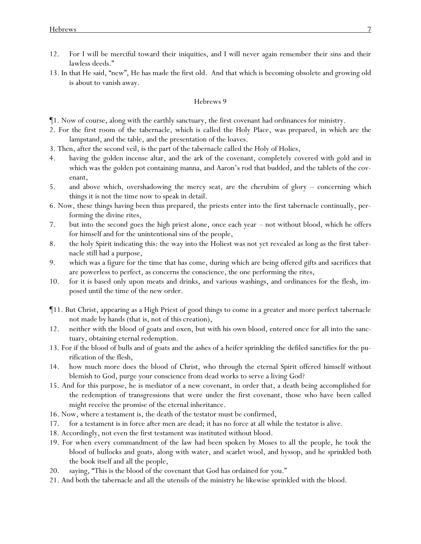- 12. For I will be merciful toward their iniquities, and I will never again remember their sins and their lawless deeds."
- 13. In that He said, "new", He has made the first old. And that which is becoming obsolete and growing old is about to vanish away.

- ¶1. Now of course, along with the earthly sanctuary, the first *covenant* had ordinances for ministry.
- 2. For the first *room of* the tabernacle, which is called the Holy Place, was prepared, in which are the lampstand, and the table, and the presentation of the loaves.
- 3. Then, after the second veil, is *the part of* the tabernacle called the Holy of Holies,
- 4. having the golden incense altar, and the ark of the covenant, completely covered with gold and in which was the golden pot containing manna, and Aaron's rod that budded, and the tablets of the covenant,
- 5. and above which, overshadowing the mercy seat, are the cherubim of glory concerning which things it is not the time now to speak in detail.
- 6. Now, these things having been thus prepared, the priests enter into the first tabernacle continually, performing the divine rites,
- 7. but into the second *goes* the high priest alone, once each year not without blood, which he offers for himself and for the unintentional sins of the people,
- 8. the holy Spirit indicating this: the way into the Holiest was not yet revealed as long as the first tabernacle still had a purpose,
- 9. which was a figure for the time that has come, during which are being offered gifts and sacrifices that are powerless to perfect, as concerns the conscience, the one performing the rites,
- 10. *for it is based* only upon meats and drinks, and various washings, and ordinances for the flesh, imposed until the time of the new order.
- ¶11. But Christ, appearing as a High Priest of good things to come in a greater and more perfect tabernacle not made by hands (that is, not of this creation),
- 12. neither with the blood of goats and oxen, but with his own blood, entered once for all into the sanctuary, obtaining eternal redemption.
- 13. For if the blood of bulls and of goats and the ashes of a heifer sprinkling the defiled sanctifies for the purification of the flesh,
- 14. how much more does the blood of Christ, who through the eternal Spirit offered himself without blemish to God, purge *y*our conscience from dead works to serve a living God?
- 15. And for this purpose, he is mediator of a new covenant, in order that, a death being accomplished for the redemption of transgressions that were under the first covenant, those who have been called might receive the promise of the eternal inheritance.
- 16. Now, where a testament is, the death of the testator must be confirmed,
- 17. for a testament is in force after men are dead; it has no force at all while the testator is alive.
- 18. Accordingly, not even the first *testament* was instituted without blood.
- 19. For when every commandment of the law had been spoken by Moses to all the people, he took the blood of bullocks and goats, along with water, and scarlet wool, and hyssop, and he sprinkled both the book itself and all the people,
- 20. saying, "This is the blood of the covenant that God has ordained for *y*ou."
- 21. And both the tabernacle and all the utensils of the ministry he likewise sprinkled with the blood.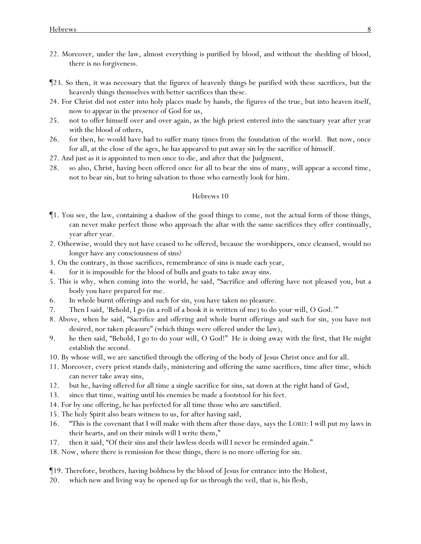- 22. Moreover, under the law, almost everything is purified by blood, and without the shedding of blood, there is no forgiveness.
- ¶23. So then, it was necessary that the figures of heavenly things be purified with these *sacrifices*, but the heavenly things themselves with better sacrifices than these.
- 24. For Christ did not enter into holy places made by hands, the figures of the true, but into heaven itself, now to appear in the presence of God for us,
- 25. not to offer himself over and over again, as the high priest entered into the sanctuary year after year with the blood of others,
- 26. for then, he would have had to suffer many times from the foundation of the world. But now, once for all, at the close of the ages, he has appeared to put away sin by the sacrifice of himself.
- 27. And just as it is appointed to men once to die, and after that the Judgment,
- 28. so also, Christ, having been offered once for all to bear the sins of many, will appear a second time, not *to bear* sin, but to *bring* salvation to those who earnestly look for him.

- ¶1. You see, the law, containing a shadow of the good things to come, not the actual form of those things, can never make perfect those who approach *the altar* with the same sacrifices they offer continually, year after year.
- 2. Otherwise, would they not have ceased to be offered, because the worshippers, once cleansed, would no longer have any consciousness of sins?
- 3. On the contrary, in those *sacrifices*, remembrance of sins *is made* each year,
- 4. for it is impossible for the blood of bulls and goats to take away sins.
- 5. This is why, when coming into the world, he said, "Sacrifice and offering have not pleased you, but a body you have prepared for me.
- 6. In whole burnt offerings and such for sin, you have taken no pleasure.
- 7. Then I said, 'Behold, I go (in a roll of a book it is written of me) to do your will, O God.'"
- 8. Above, when he said, "Sacrifice and offering and whole burnt offerings and such for sin, you have not desired, nor taken pleasure" (which things were offered under the law),
- 9. he then said, "Behold, I go to do your will, O God!" He is doing away with the first, that He might establish the second.
- 10. By whose will, we are sanctified through the offering of the body of Jesus Christ once and for all.
- 11. Moreover, every priest stands daily, ministering and offering the same sacrifices, time after time, which can never take away sins,
- 12. but he, having offered for all time a single sacrifice for sins, sat down at the right hand of God,
- 13. since that time, waiting until his enemies be made a footstool for his feet.
- 14. For by one offering, he has perfected for all time those who are sanctified.
- 15. The holy Spirit also bears witness to us, for after having said,
- 16. "This is the covenant that I will make with them after those days, says the LORD: I will put my laws in their hearts, and on their minds will I write them,"
- 17. then *it said*, "Of their sins and their lawless deeds will I never be reminded again."
- 18. Now, where there is remission for these things, there is no more offering for sin.
- ¶19. Therefore, brothers, having boldness by the blood of Jesus for entrance into the Holiest,
- 20. which new and living way he opened up for us through the veil, that is, his flesh,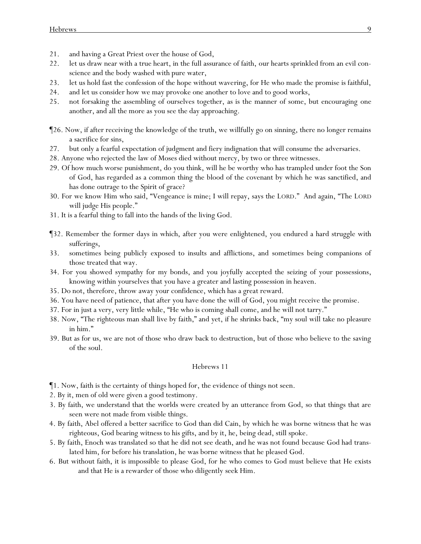- 21. and *having* a Great Priest over the house of God,
- 22. let us draw near with a true heart, in the full assurance of faith, *our* hearts sprinkled from an evil conscience and the body washed with pure water,
- 23. let us hold fast the confession of the hope without wavering, for He who made the promise is faithful,
- 24. and let us consider how we may provoke one another to love and to good works,
- 25. not forsaking the assembling of ourselves together, as is the manner of some, but encouraging *one another*, and all the more as *y*ou see the day approaching.
- ¶26. Now, if after receiving the knowledge of the truth, we willfully go on sinning, there no longer remains a sacrifice for sins,
- 27. but only a fearful expectation of judgment and fiery indignation that will consume the adversaries.
- 28. Anyone who rejected the law of Moses died without mercy, by two or three witnesses.
- 29. Of how much worse punishment, do *y*ou think, will he be worthy who has trampled under foot the Son of God, has regarded as a common thing the blood of the covenant by which he was sanctified, and has done outrage to the Spirit of grace?
- 30. For we know Him who said, "Vengeance is mine; I will repay, says the LORD." And again, "The LORD will judge His people."
- 31. It is a fearful thing to fall into the hands of the living God.
- ¶32. Remember the former days in which, after *y*ou were enlightened, *y*ou endured a hard struggle with sufferings,
- 33. sometimes being publicly exposed to insults and afflictions, and sometimes being companions of those treated that way.
- 34. For *y*ou showed sympathy for my bonds, and *y*ou joyfully accepted the seizing of *y*our possessions, knowing within *y*ourselves that *y*ou have a greater and lasting possession in heaven.
- 35. Do not, therefore, throw away *y*our confidence, which has a great reward.
- 36. *Y*ou have need of patience, that after *y*ou have done the will of God, *y*ou might receive the promise.
- 37. For in just a very, very little while, "He who is coming shall come, and he will not tarry."
- 38. Now, "The righteous man shall live by faith," and yet, if he shrinks back, "my soul will take no pleasure in him."
- 39. But as for us, we are not of those who draw back to destruction, but of those who believe to the saving of the soul.

- ¶1. Now, faith is the certainty of things hoped for, the evidence of things not seen.
- 2. By it, men of old were given a good testimony.
- 3. By faith, we understand that the worlds were created by an utterance from God, so that things that are seen were not made from visible things.
- 4. By faith, Abel offered a better sacrifice to God than did Cain, by which he was borne witness that he was righteous, God bearing witness to his gifts, and by it, he, being dead, still spoke.
- 5. By faith, Enoch was translated so that he did not see death, and he was not found because God had translated him, for before his translation, he was borne witness that he pleased God.
- 6. But without faith, it is impossible to please *God*, for he who comes to God must believe that He exists and that He is a rewarder of those who diligently seek Him.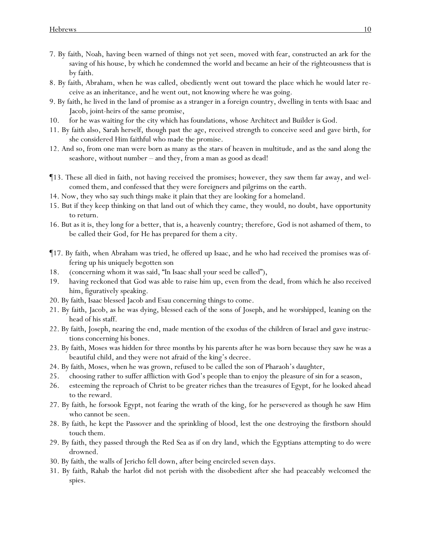- 7. By faith, Noah, having been warned of things not yet seen, moved with fear, constructed an ark for the saving of his house, by which he condemned the world and became an heir of the righteousness that is by faith.
- 8. By faith, Abraham, when he was called, obediently went out toward the place which he would later receive as an inheritance, and he went out, not knowing where he was going.
- 9. By faith, he lived in the land of promise as a stranger in a foreign country, dwelling in tents with Isaac and Jacob, joint-heirs of the same promise,
- 10. for he was waiting for the city which has foundations, whose Architect and Builder is God.
- 11. By faith also, Sarah herself, though past the age, received strength to conceive seed and gave birth, for she considered Him faithful who made the promise.
- 12. And so, from one man were born as many as the stars of heaven in multitude, and as the sand along the seashore, without number – and they, from a man as good as dead!
- ¶13. These all died in faith, not having received the promises; however, they saw them far away, and welcomed them, and confessed that they were foreigners and pilgrims on the earth.
- 14. Now, they who say such things make it plain that they are looking for a homeland.
- 15. But if they keep thinking on that *land* out of which they came, they would, no doubt, have opportunity to return.
- 16. But as it is, they long for a better, that is, a heavenly country; therefore, God is not ashamed of them, to be called their God, for He has prepared for them a city.
- ¶17. By faith, when Abraham was tried, he offered up Isaac, and he who had received the promises was offering up his uniquely begotten son
- 18. (concerning whom it was said, "In Isaac shall your seed be called"),
- 19. having reckoned that God was able to raise him up, even from the dead, from which he also received him, figuratively speaking.
- 20. By faith, Isaac blessed Jacob and Esau concerning things to come.
- 21. By faith, Jacob, as he was dying, blessed each of the sons of Joseph, and he worshipped, *leaning* on the head of his staff.
- 22. By faith, Joseph, nearing the end, made mention of the exodus of the children of Israel and gave instructions concerning his bones.
- 23. By faith, Moses was hidden for three months by his parents after he was born because they saw he was a beautiful child, and they were not afraid of the king's decree.
- 24. By faith, Moses, when he was grown, refused to be called the son of Pharaoh's daughter,
- 25. choosing rather to suffer affliction with God's people than to enjoy the pleasure of sin for a season,
- 26. esteeming the reproach of Christ to be greater riches than the treasures of Egypt, for he looked ahead to the reward.
- 27. By faith, he forsook Egypt, not fearing the wrath of the king, for he persevered as though he saw Him who cannot be seen.
- 28. By faith, he kept the Passover and the sprinkling of blood, lest the one destroying the firstborn should touch them.
- 29. By faith, they passed through the Red Sea as if on dry land, which the Egyptians attempting to do were drowned.
- 30. By faith, the walls of Jericho fell down, after being encircled seven days.
- 31. By faith, Rahab the harlot did not perish with the disobedient after she had peaceably welcomed the spies.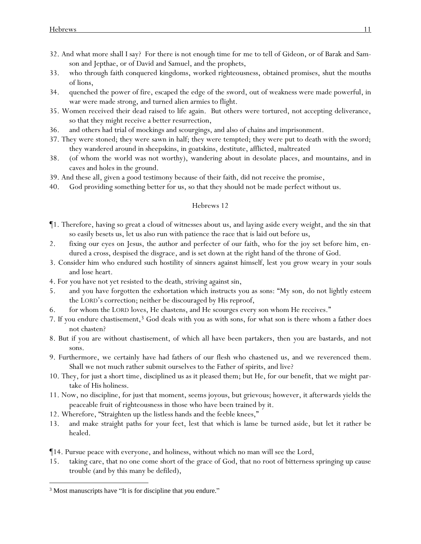- 32. And what more shall I say? For there is not enough time for me to tell of Gideon, or of Barak and Samson and Jepthae, or of David and Samuel, and the prophets,
- 33. who through faith conquered kingdoms, worked righteousness, obtained promises, shut the mouths of lions,
- 34. quenched the power of fire, escaped the edge of the sword, out of weakness were made powerful, in war were made strong, and turned alien armies to flight.
- 35. Women received their dead raised to life again. But others were tortured, not accepting deliverance, so that they might receive a better resurrection,
- 36. and others had trial of mockings and scourgings, and also of chains and imprisonment.
- 37. They were stoned; they were sawn in half; they were tempted; they were put to death with the sword; they wandered around in sheepskins, in goatskins, destitute, afflicted, maltreated
- 38. (of whom the world was not worthy), wandering about in desolate places, and mountains, and in caves and holes in the ground.
- 39. And these all, given a good testimony because of their faith, did not receive the promise,
- 40. God providing something better for us, so that they should not be made perfect without us.

- ¶1. Therefore, having so great a cloud of witnesses about us, and laying aside every weight, and the sin that so easily besets us, let us also run with patience the race that is laid out before us,
- 2. fixing our eyes on Jesus, the author and perfecter of our faith, who for the joy set before him, endured a cross, despised the disgrace, and is set down at the right hand of the throne of God.
- 3. Consider him who endured such hostility of sinners against himself, lest *y*ou grow weary in *y*our souls and lose heart.
- 4. For *y*ou have not yet resisted to the death, striving against sin,
- 5. and *y*ou have forgotten the exhortation which instructs *y*ou as sons: "My son, do not lightly esteem the LORD's correction; neither be discouraged by His reproof,
- 6. for whom the LORD loves, He chastens, and He scourges every son whom He receives."
- 7. If *y*ou endure chastisement,<sup>3</sup> God deals with *y*ou as with sons, for what son is there whom a father does not chasten?
- 8. But if *y*ou are without chastisement, of which all have been partakers, then *y*ou are bastards, and not sons.
- 9. Furthermore, we certainly have had fathers of our flesh who chastened us, and we reverenced them. Shall we not much rather submit ourselves to the Father of spirits, and live?
- 10. They, for just a short time, disciplined us as it pleased them; but He, for our benefit, that we might partake of His holiness.
- 11. Now, no discipline, for just that moment, seems joyous, but grievous; however, it afterwards yields the peaceable fruit of righteousness in those who have been trained by it.
- 12. Wherefore, "Straighten up the listless hands and the feeble knees,"
- 13. and make straight paths for *y*our feet, lest that which is lame be turned aside, but let it rather be healed.
- ¶14. Pursue peace with everyone, and holiness, without which no man will see the Lord,
- 15. taking care, that no one come short of the grace of God, that no root of bitterness springing up cause trouble (and by this many be defiled),

<sup>3</sup> Most manuscripts have "It is for discipline that *y*ou endure."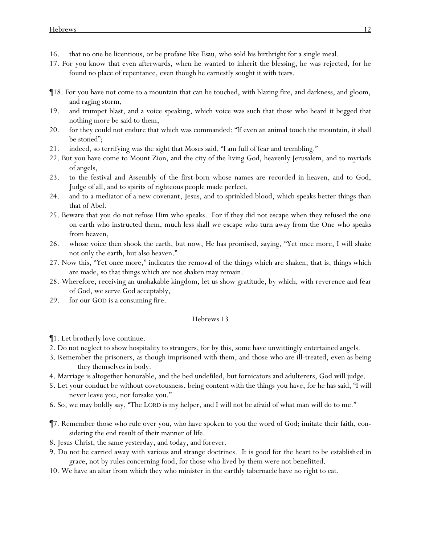- 16. that no one be licentious, or be profane like Esau, who sold his birthright for a single meal.
- 17. For *y*ou know that even afterwards, when he wanted to inherit the blessing, he was rejected, for he found no place of repentance, even though he earnestly sought it with tears.
- ¶18. For *y*ou have not come to a mountain that can be touched, with blazing fire, and darkness, and gloom, and raging storm,
- 19. and trumpet blast, and a voice speaking, which *voice was such that* those who heard *it* begged that nothing more be said to them,
- 20. for they could not endure that which was commanded: "If even an animal touch the mountain, it shall be stoned";
- 21. indeed, so terrifying was the sight that Moses said, "I am full of fear and trembling."
- 22. But you have come to Mount Zion, and the city of the living God, heavenly Jerusalem, and to myriads of angels,
- 23. to the festival and Assembly of the first-born whose names are recorded in heaven, and to God, Judge of all, and to spirits of righteous people made perfect,
- 24. and to a mediator of a new covenant, Jesus, and to sprinkled blood, which speaks better things than that of Abel.
- 25. Beware that *y*ou do not refuse Him who speaks. For if they did not escape when they refused the one on earth who instructed them, much less *shall* we *escape* who turn away from the One *who speaks* from heaven,
- 26. whose voice then shook the earth, but now, He has promised, saying, "Yet once more, I will shake not only the earth, but also heaven."
- 27. Now this, "Yet once more," indicates the removal of the things which are shaken, that is, things which are made, so that things which are not shaken may remain.
- 28. Wherefore, receiving an unshakable kingdom, let us show gratitude, by which, with reverence and fear of God, we serve God acceptably,
- 29. for our GOD is a consuming fire.

- ¶1. Let brotherly love continue.
- 2. Do not neglect to show hospitality to strangers, for by this, some have unwittingly entertained angels.
- 3. Remember the prisoners, as though imprisoned with them, and those who are ill-treated, even as being they themselves in body.
- 4. Marriage is altogether honorable, and the bed undefiled, but fornicators and adulterers, God will judge.
- 5. *Let your* conduct *be* without covetousness, being content with the things *you* have, for he has said, "I will never leave you, nor forsake you."
- 6. So, we may boldly say, "The LORD is my helper, and I will not be afraid of what man will do to me."
- ¶7. Remember those who rule over *y*ou, who have spoken to *y*ou the word of God; imitate their faith, considering the end result of their manner of life.
- 8. Jesus Christ, the same yesterday, and today, and forever.
- 9. Do not be carried away with various and strange doctrines. It is good for the heart to be established in grace, not by *rules concerning* food, for those who lived by them were not benefitted.
- 10. We have an altar from which they who minister in the *earthly* tabernacle have no right to eat.